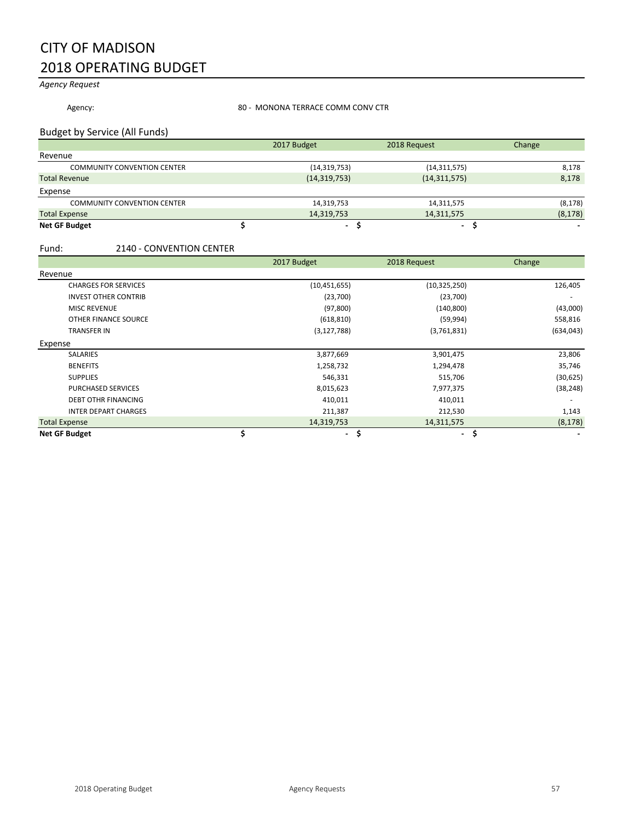## CITY OF MADISON 2018 OPERATING BUDGET

*Agency Request*

Agency: **80 - MONONA TERRACE COMM CONV CTR** 

### Budget by Service (All Funds)

|                                    | 2017 Budget    | 2018 Request   | Change   |
|------------------------------------|----------------|----------------|----------|
| Revenue                            |                |                |          |
| <b>COMMUNITY CONVENTION CENTER</b> | (14, 319, 753) | (14, 311, 575) | 8,178    |
| <b>Total Revenue</b>               | (14, 319, 753) | (14, 311, 575) | 8,178    |
| Expense                            |                |                |          |
| <b>COMMUNITY CONVENTION CENTER</b> | 14,319,753     | 14,311,575     | (8, 178) |
| <b>Total Expense</b>               | 14,319,753     | 14,311,575     | (8, 178) |
| <b>Net GF Budget</b>               |                |                |          |

### Fund: 2140 - CONVENTION CENTER

|                             | 2017 Budget    | 2018 Request   | Change     |
|-----------------------------|----------------|----------------|------------|
| Revenue                     |                |                |            |
| <b>CHARGES FOR SERVICES</b> | (10, 451, 655) | (10, 325, 250) | 126,405    |
| <b>INVEST OTHER CONTRIB</b> | (23,700)       | (23,700)       |            |
| <b>MISC REVENUE</b>         | (97, 800)      | (140, 800)     | (43,000)   |
| OTHER FINANCE SOURCE        | (618, 810)     | (59, 994)      | 558,816    |
| <b>TRANSFER IN</b>          | (3, 127, 788)  | (3,761,831)    | (634, 043) |
| Expense                     |                |                |            |
| <b>SALARIES</b>             | 3,877,669      | 3,901,475      | 23,806     |
| <b>BENEFITS</b>             | 1,258,732      | 1,294,478      | 35,746     |
| <b>SUPPLIES</b>             | 546,331        | 515,706        | (30, 625)  |
| PURCHASED SERVICES          | 8,015,623      | 7,977,375      | (38, 248)  |
| <b>DEBT OTHR FINANCING</b>  | 410,011        | 410,011        |            |
| <b>INTER DEPART CHARGES</b> | 211,387        | 212,530        | 1,143      |
| <b>Total Expense</b>        | 14,319,753     | 14,311,575     | (8, 178)   |
| <b>Net GF Budget</b>        | ۰.             | \$<br>۰.       | S          |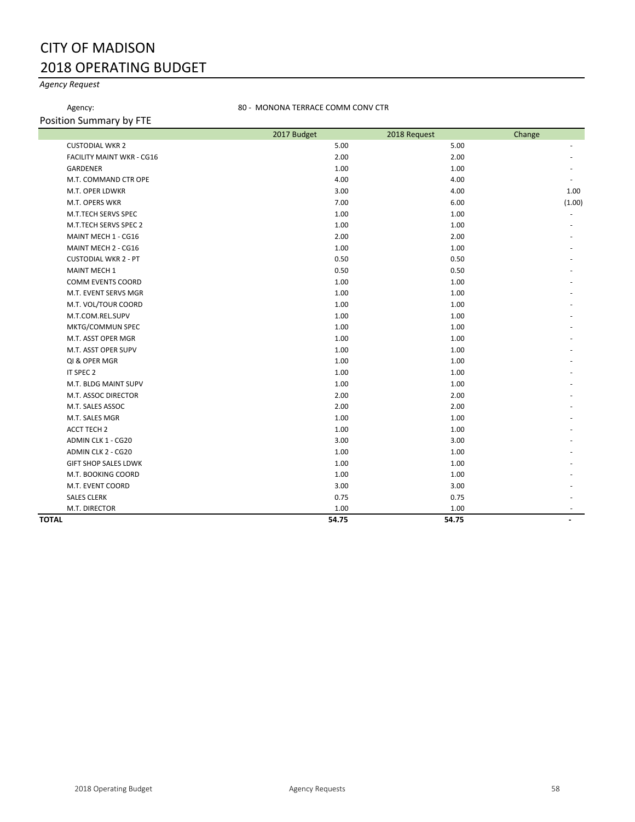## CITY OF MADISON 2018 OPERATING BUDGET

## *Agency Request*

### Agency: **80 - MONONA TERRACE COMM CONV CTR**

Position Summary by FTE

|                                  | 2017 Budget | 2018 Request | Change |
|----------------------------------|-------------|--------------|--------|
| <b>CUSTODIAL WKR 2</b>           | 5.00        | 5.00         |        |
| <b>FACILITY MAINT WKR - CG16</b> | 2.00        | 2.00         |        |
| <b>GARDENER</b>                  | 1.00        | 1.00         |        |
| M.T. COMMAND CTR OPE             | 4.00        | 4.00         |        |
| M.T. OPER LDWKR                  | 3.00        | 4.00         | 1.00   |
| M.T. OPERS WKR                   | 7.00        | 6.00         | (1.00) |
| M.T.TECH SERVS SPEC              | 1.00        | 1.00         |        |
| M.T.TECH SERVS SPEC 2            | 1.00        | 1.00         |        |
| MAINT MECH 1 - CG16              | 2.00        | 2.00         |        |
| MAINT MECH 2 - CG16              | 1.00        | 1.00         |        |
| <b>CUSTODIAL WKR 2 - PT</b>      | 0.50        | 0.50         |        |
| <b>MAINT MECH 1</b>              | 0.50        | 0.50         |        |
| <b>COMM EVENTS COORD</b>         | 1.00        | 1.00         |        |
| M.T. EVENT SERVS MGR             | 1.00        | 1.00         |        |
| M.T. VOL/TOUR COORD              | 1.00        | 1.00         |        |
| M.T.COM.REL.SUPV                 | 1.00        | 1.00         |        |
| MKTG/COMMUN SPEC                 | 1.00        | 1.00         |        |
| M.T. ASST OPER MGR               | 1.00        | 1.00         |        |
| M.T. ASST OPER SUPV              | 1.00        | 1.00         |        |
| QI & OPER MGR                    | 1.00        | 1.00         |        |
| IT SPEC 2                        | 1.00        | 1.00         |        |
| M.T. BLDG MAINT SUPV             | 1.00        | 1.00         |        |
| M.T. ASSOC DIRECTOR              | 2.00        | 2.00         |        |
| M.T. SALES ASSOC                 | 2.00        | 2.00         |        |
| M.T. SALES MGR                   | 1.00        | 1.00         |        |
| ACCT TECH 2                      | 1.00        | 1.00         |        |
| ADMIN CLK 1 - CG20               | 3.00        | 3.00         |        |
| ADMIN CLK 2 - CG20               | 1.00        | 1.00         |        |
| <b>GIFT SHOP SALES LDWK</b>      | 1.00        | 1.00         |        |
| M.T. BOOKING COORD               | 1.00        | 1.00         |        |
| M.T. EVENT COORD                 | 3.00        | 3.00         |        |
| <b>SALES CLERK</b>               | 0.75        | 0.75         |        |
| M.T. DIRECTOR                    | 1.00        | 1.00         | ٠      |
| <b>TOTAL</b>                     | 54.75       | 54.75        |        |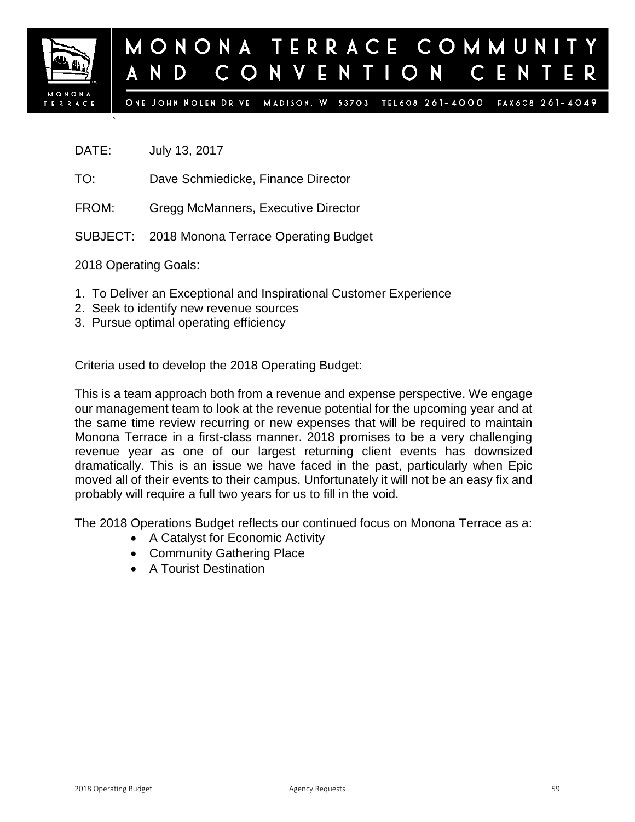

### MONONA TERRACE COMMUNI August 11, 2015  $\mathbf{O}$ N V ENTIO N  $\subset$ D

ONE JOHN NOLEN DRIVE MADISON, WI 53703 TEL608 261-4000 FAX608 261-4049

DATE: July 13, 2017

`

- TO: Dave Schmiedicke, Finance Director
- FROM: Gregg McManners, Executive Director
- SUBJECT: 2018 Monona Terrace Operating Budget

2018 Operating Goals:

- 1. To Deliver an Exceptional and Inspirational Customer Experience
- 2. Seek to identify new revenue sources
- 3. Pursue optimal operating efficiency

Criteria used to develop the 2018 Operating Budget:

This is a team approach both from a revenue and expense perspective. We engage our management team to look at the revenue potential for the upcoming year and at the same time review recurring or new expenses that will be required to maintain Monona Terrace in a first-class manner. 2018 promises to be a very challenging revenue year as one of our largest returning client events has downsized dramatically. This is an issue we have faced in the past, particularly when Epic moved all of their events to their campus. Unfortunately it will not be an easy fix and probably will require a full two years for us to fill in the void.

The 2018 Operations Budget reflects our continued focus on Monona Terrace as a:

- A Catalyst for Economic Activity
- Community Gathering Place
- A Tourist Destination